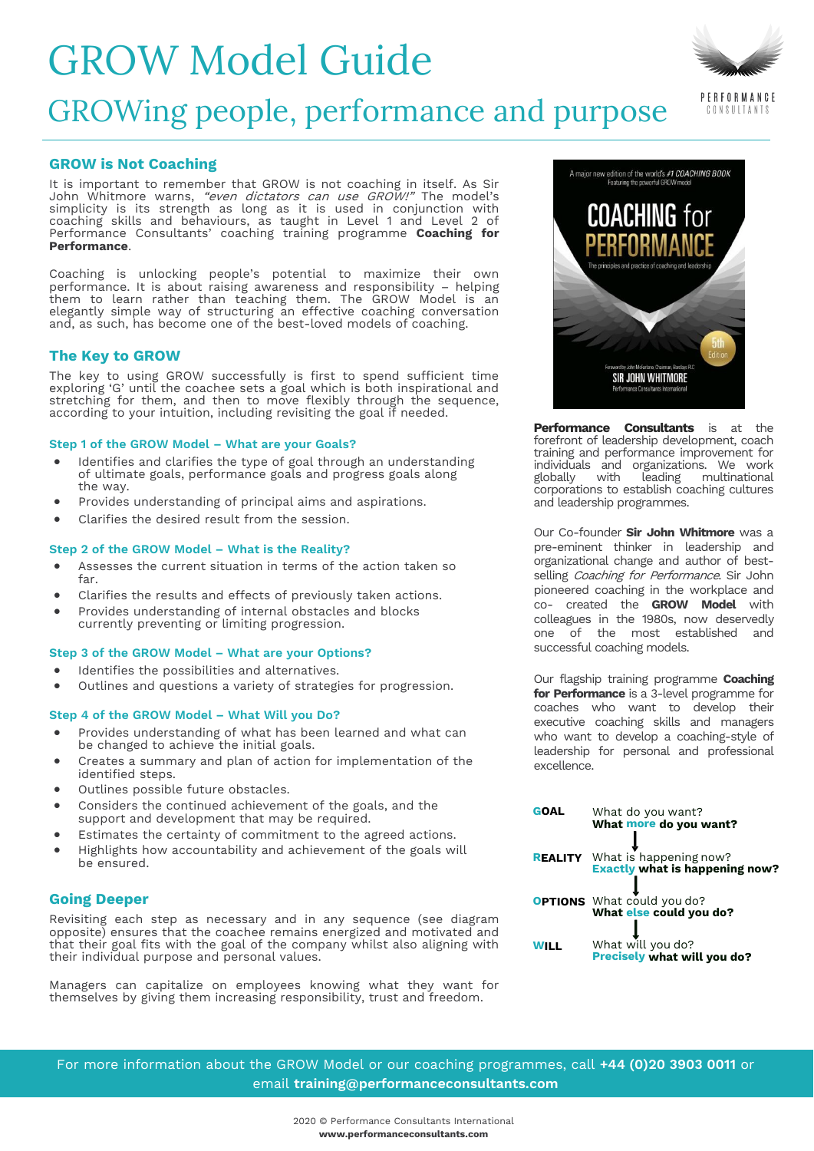# GROW Model Guide

# GROWing people, performance and purpose

# **GROW is Not Coaching**

It is important to remember that GROW is not coaching in itself. As Sir John Whitmore warns, "even dictators can use GROW!" The model's simplicity is its strength as long as it is used in conjunction with coaching skills and behaviours, as taught in Level 1 and Level 2 of Performance Consultants' coaching training programme **Coaching for Performance**.

Coaching is unlocking people's potential to maximize their own performance. It is about raising awareness and responsibility – helping them to learn rather than teaching them. The GROW Model is an elegantly simple way of structuring an effective coaching conversation and, as such, has become one of the best-loved models of coaching.

## **The Key to GROW**

The key to using GROW successfully is first to spend sufficient time exploring 'G' until the coachee sets a goal which is both inspirational and stretching for them, and then to move flexibly through the sequence, according to your intuition, including revisiting the goal if needed.

### **Step 1 of the GROW Model – What are your Goals?**

- Identifies and clarifies the type of goal through an understanding of ultimate goals, performance goals and progress goals along the way.
- Provides understanding of principal aims and aspirations.
- Clarifies the desired result from the session.

### **Step 2 of the GROW Model – What is the Reality?**

- Assesses the current situation in terms of the action taken so far.
- Clarifies the results and effects of previously taken actions.
- Provides understanding of internal obstacles and blocks currently preventing or limiting progression.

### **Step 3 of the GROW Model – What are your Options?**

- Identifies the possibilities and alternatives.
- Outlines and questions a variety of strategies for progression.

#### **Step 4 of the GROW Model – What Will you Do?**

- Provides understanding of what has been learned and what can be changed to achieve the initial goals.
- Creates a summary and plan of action for implementation of the identified steps.
- Outlines possible future obstacles.
- Considers the continued achievement of the goals, and the support and development that may be required.
- Estimates the certainty of commitment to the agreed actions.
- Highlights how accountability and achievement of the goals will be ensured.

# **Going Deeper**

Revisiting each step as necessary and in any sequence (see diagram opposite) ensures that the coachee remains energized and motivated and that their goal fits with the goal of the company whilst also aligning with their individual purpose and personal values.

Managers can capitalize on employees knowing what they want for themselves by giving them increasing responsibility, trust and freedom.



A major new edition of the world's #1 COACHING BOOK

**COACHING for** 

**Performance Consultants** is at the forefront of leadership development, coach training and performance improvement for individuals and organizations. We work<br>globally with leading multinational multinational corporations to establish coaching cultures and leadership programmes.

Our Co-founder **Sir John Whitmore** was a pre-eminent thinker in leadership and organizational change and author of bestselling Coaching for Performance. Sir John pioneered coaching in the workplace and co- created the **GROW Model** with colleagues in the 1980s, now deservedly one of the most established and successful coaching models.

Our flagship training programme **Coaching for Performance** is a 3-level programme for coaches who want to develop their executive coaching skills and managers who want to develop a coaching-style of leadership for personal and professional excellence.

| <b>GOAL</b> | What do you want?                                                   |
|-------------|---------------------------------------------------------------------|
|             | What more do you want?                                              |
|             |                                                                     |
|             | <b>REALITY</b> What is happening now?                               |
|             | <b>Exactly what is happening now?</b>                               |
|             |                                                                     |
|             |                                                                     |
|             | <b>OPTIONS</b> What could you do?<br><b>What else could you do?</b> |
|             |                                                                     |
| WILL        | What will you do?                                                   |
|             | Precisely what will you do?                                         |

For more information about the GROW Model or our coaching programmes, call **+44 (0)20 3903 0011** or email **[training@performanceconsultants.com](mailto:training@performanceconsultants.com)**



PERFORMANCE CONSULTANTS